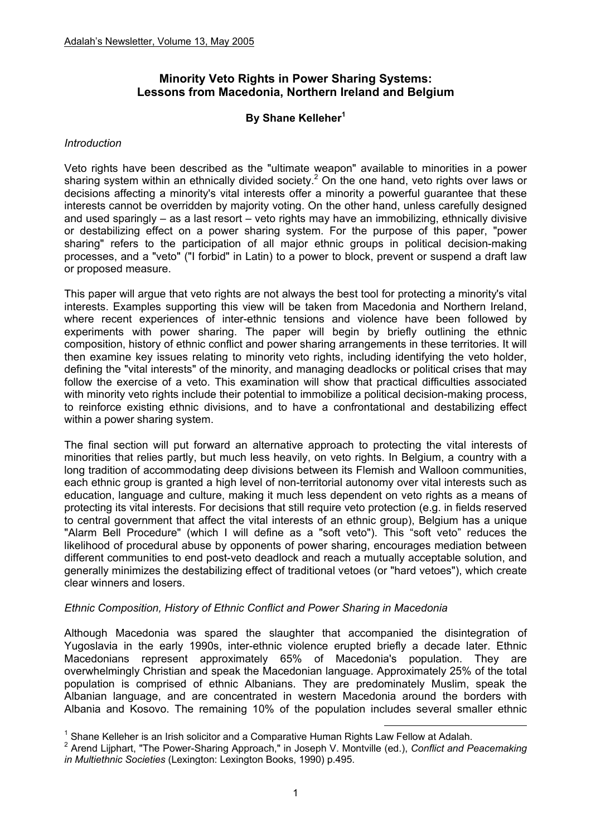# **Minority Veto Rights in Power Sharing Systems: Lessons from Macedonia, Northern Ireland and Belgium**

## **By Shane Kelleher<sup>1</sup>**

#### *Introduction*

Veto rights have been described as the "ultimate weapon" available to minorities in a power sharing system within an ethnically divided society.<sup>2</sup> On the one hand, veto rights over laws or decisions affecting a minority's vital interests offer a minority a powerful guarantee that these interests cannot be overridden by majority voting. On the other hand, unless carefully designed and used sparingly – as a last resort – veto rights may have an immobilizing, ethnically divisive or destabilizing effect on a power sharing system. For the purpose of this paper, "power sharing" refers to the participation of all major ethnic groups in political decision-making processes, and a "veto" ("I forbid" in Latin) to a power to block, prevent or suspend a draft law or proposed measure.

This paper will argue that veto rights are not always the best tool for protecting a minority's vital interests. Examples supporting this view will be taken from Macedonia and Northern Ireland, where recent experiences of inter-ethnic tensions and violence have been followed by experiments with power sharing. The paper will begin by briefly outlining the ethnic composition, history of ethnic conflict and power sharing arrangements in these territories. It will then examine key issues relating to minority veto rights, including identifying the veto holder, defining the "vital interests" of the minority, and managing deadlocks or political crises that may follow the exercise of a veto. This examination will show that practical difficulties associated with minority veto rights include their potential to immobilize a political decision-making process, to reinforce existing ethnic divisions, and to have a confrontational and destabilizing effect within a power sharing system.

The final section will put forward an alternative approach to protecting the vital interests of minorities that relies partly, but much less heavily, on veto rights. In Belgium, a country with a long tradition of accommodating deep divisions between its Flemish and Walloon communities, each ethnic group is granted a high level of non-territorial autonomy over vital interests such as education, language and culture, making it much less dependent on veto rights as a means of protecting its vital interests. For decisions that still require veto protection (e.g. in fields reserved to central government that affect the vital interests of an ethnic group), Belgium has a unique "Alarm Bell Procedure" (which I will define as a "soft veto"). This "soft veto" reduces the likelihood of procedural abuse by opponents of power sharing, encourages mediation between different communities to end post-veto deadlock and reach a mutually acceptable solution, and generally minimizes the destabilizing effect of traditional vetoes (or "hard vetoes"), which create clear winners and losers.

### *Ethnic Composition, History of Ethnic Conflict and Power Sharing in Macedonia*

Although Macedonia was spared the slaughter that accompanied the disintegration of Yugoslavia in the early 1990s, inter-ethnic violence erupted briefly a decade later. Ethnic Macedonians represent approximately 65% of Macedonia's population. They are overwhelmingly Christian and speak the Macedonian language. Approximately 25% of the total population is comprised of ethnic Albanians. They are predominately Muslim, speak the Albanian language, and are concentrated in western Macedonia around the borders with Albania and Kosovo. The remaining 10% of the population includes several smaller ethnic

<sup>-&</sup>lt;br><sup>1</sup> Chane Kelleber is an Irish esligiter and a Comparative Hyman Dighte Le <sup>1</sup> Shane Kelleher is an Irish solicitor and a Comparative Human Rights Law Fellow at Adalah.<br><sup>2</sup> Arend Lijnbert, "The Rower Sharing Annreach" in Joseph V, Montville (ed.), Cenflict and B

Arend Lijphart, "The Power-Sharing Approach," in Joseph V. Montville (ed.), *Conflict and Peacemaking in Multiethnic Societies* (Lexington: Lexington Books, 1990) p.495.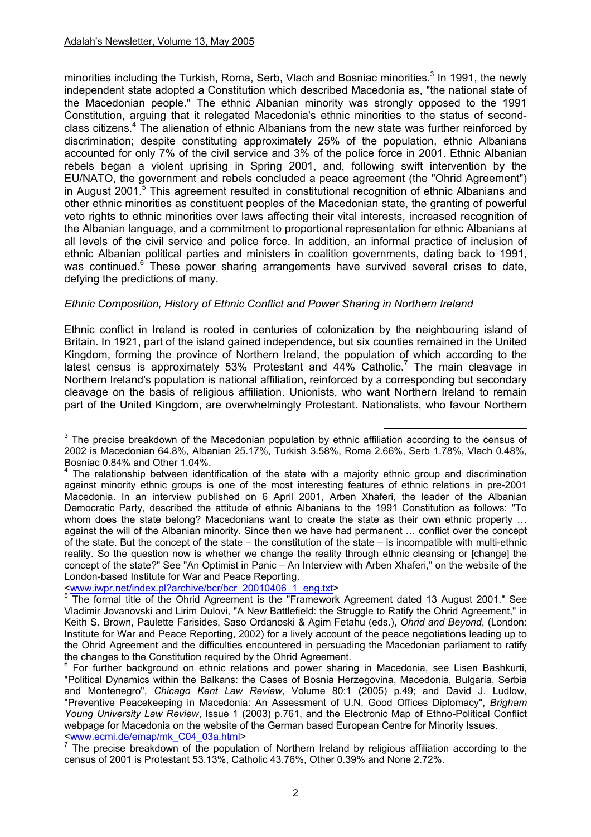minorities including the Turkish, Roma, Serb, Vlach and Bosniac minorities. $3$  In 1991, the newly independent state adopted a Constitution which described Macedonia as, "the national state of the Macedonian people." The ethnic Albanian minority was strongly opposed to the 1991 Constitution, arguing that it relegated Macedonia's ethnic minorities to the status of secondclass citizens.<sup>4</sup> The alienation of ethnic Albanians from the new state was further reinforced by discrimination; despite constituting approximately 25% of the population, ethnic Albanians accounted for only 7% of the civil service and 3% of the police force in 2001. Ethnic Albanian rebels began a violent uprising in Spring 2001, and, following swift intervention by the EU/NATO, the government and rebels concluded a peace agreement (the "Ohrid Agreement") in August 2001.<sup>5</sup> This agreement resulted in constitutional recognition of ethnic Albanians and other ethnic minorities as constituent peoples of the Macedonian state, the granting of powerful veto rights to ethnic minorities over laws affecting their vital interests, increased recognition of the Albanian language, and a commitment to proportional representation for ethnic Albanians at all levels of the civil service and police force. In addition, an informal practice of inclusion of ethnic Albanian political parties and ministers in coalition governments, dating back to 1991, was continued.<sup>6</sup> These power sharing arrangements have survived several crises to date, defying the predictions of many.

### *Ethnic Composition, History of Ethnic Conflict and Power Sharing in Northern Ireland*

Ethnic conflict in Ireland is rooted in centuries of colonization by the neighbouring island of Britain. In 1921, part of the island gained independence, but six counties remained in the United Kingdom, forming the province of Northern Ireland, the population of which according to the latest census is approximately 53% Protestant and  $44\%$  Catholic.<sup>7</sup> The main cleavage in Northern Ireland's population is national affiliation, reinforced by a corresponding but secondary cleavage on the basis of religious affiliation. Unionists, who want Northern Ireland to remain part of the United Kingdom, are overwhelmingly Protestant. Nationalists, who favour Northern

<www.iwpr.net/index.pl?archive/bcr/bcr\_20010406\_1\_eng.txt>

**EXECTS** The precise breakdown of the Macedonian population by ethnic affiliation according to the census of 2002 is Macedonian 64.8%, Albanian 25.17%, Turkish 3.58%, Roma 2.66%, Serb 1.78%, Vlach 0.48%, Bosniac 0.84% and Other 1.04%.

<sup>&</sup>lt;sup>4</sup> The relationship between identification of the state with a majority ethnic group and discrimination against minority ethnic groups is one of the most interesting features of ethnic relations in pre-2001 Macedonia. In an interview published on 6 April 2001, Arben Xhaferi, the leader of the Albanian Democratic Party, described the attitude of ethnic Albanians to the 1991 Constitution as follows: "To whom does the state belong? Macedonians want to create the state as their own ethnic property ... against the will of the Albanian minority. Since then we have had permanent … conflict over the concept of the state. But the concept of the state – the constitution of the state – is incompatible with multi-ethnic reality. So the question now is whether we change the reality through ethnic cleansing or [change] the concept of the state?" See "An Optimist in Panic – An Interview with Arben Xhaferi," on the website of the London-based Institute for War and Peace Reporting.

<sup>&</sup>lt;sup>5</sup> The formal title of the Ohrid Agreement is the "Framework Agreement dated 13 August 2001." See Vladimir Jovanovski and Lirim Dulovi, "A New Battlefield: the Struggle to Ratify the Ohrid Agreement," in Keith S. Brown, Paulette Farisides, Saso Ordanoski & Agim Fetahu (eds.), *Ohrid and Beyond*, (London: Institute for War and Peace Reporting, 2002) for a lively account of the peace negotiations leading up to the Ohrid Agreement and the difficulties encountered in persuading the Macedonian parliament to ratify the changes to the Constitution required by the Ohrid Agreement.

 $6$  For further background on ethnic relations and power sharing in Macedonia, see Lisen Bashkurti, "Political Dynamics within the Balkans: the Cases of Bosnia Herzegovina, Macedonia, Bulgaria, Serbia and Montenegro", *Chicago Kent Law Review*, Volume 80:1 (2005) p.49; and David J. Ludlow, "Preventive Peacekeeping in Macedonia: An Assessment of U.N. Good Offices Diplomacy", *Brigham Young University Law Review*, Issue 1 (2003) p.761, and the Electronic Map of Ethno-Political Conflict webpage for Macedonia on the website of the German based European Centre for Minority Issues. <www.ecmi.de/emap/mk\_C04\_03a.html>

 $7$  The precise breakdown of the population of Northern Ireland by religious affiliation according to the census of 2001 is Protestant 53.13%, Catholic 43.76%, Other 0.39% and None 2.72%.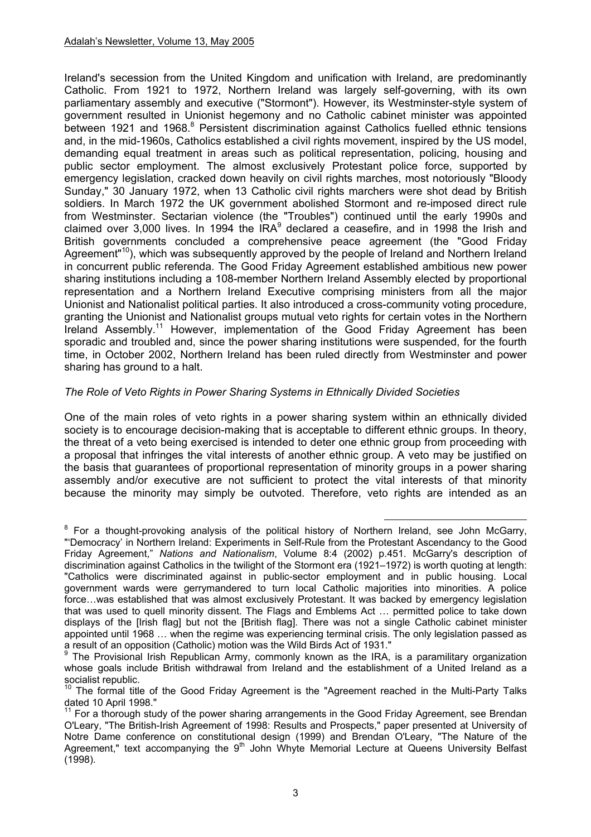Ireland's secession from the United Kingdom and unification with Ireland, are predominantly Catholic. From 1921 to 1972, Northern Ireland was largely self-governing, with its own parliamentary assembly and executive ("Stormont"). However, its Westminster-style system of government resulted in Unionist hegemony and no Catholic cabinet minister was appointed between 1921 and 1968.<sup>8</sup> Persistent discrimination against Catholics fuelled ethnic tensions and, in the mid-1960s, Catholics established a civil rights movement, inspired by the US model, demanding equal treatment in areas such as political representation, policing, housing and public sector employment. The almost exclusively Protestant police force, supported by emergency legislation, cracked down heavily on civil rights marches, most notoriously "Bloody Sunday," 30 January 1972, when 13 Catholic civil rights marchers were shot dead by British soldiers. In March 1972 the UK government abolished Stormont and re-imposed direct rule from Westminster. Sectarian violence (the "Troubles") continued until the early 1990s and claimed over 3,000 lives. In 1994 the IRA $<sup>9</sup>$  declared a ceasefire, and in 1998 the Irish and</sup> British governments concluded a comprehensive peace agreement (the "Good Friday Agreement<sup>"10</sup>), which was subsequently approved by the people of Ireland and Northern Ireland in concurrent public referenda. The Good Friday Agreement established ambitious new power sharing institutions including a 108-member Northern Ireland Assembly elected by proportional representation and a Northern Ireland Executive comprising ministers from all the major Unionist and Nationalist political parties. It also introduced a cross-community voting procedure, granting the Unionist and Nationalist groups mutual veto rights for certain votes in the Northern Ireland Assembly.11 However, implementation of the Good Friday Agreement has been sporadic and troubled and, since the power sharing institutions were suspended, for the fourth time, in October 2002, Northern Ireland has been ruled directly from Westminster and power sharing has ground to a halt.

### *The Role of Veto Rights in Power Sharing Systems in Ethnically Divided Societies*

One of the main roles of veto rights in a power sharing system within an ethnically divided society is to encourage decision-making that is acceptable to different ethnic groups. In theory, the threat of a veto being exercised is intended to deter one ethnic group from proceeding with a proposal that infringes the vital interests of another ethnic group. A veto may be justified on the basis that guarantees of proportional representation of minority groups in a power sharing assembly and/or executive are not sufficient to protect the vital interests of that minority because the minority may simply be outvoted. Therefore, veto rights are intended as an

<sup>8&</sup>lt;br>Bittalling thought-provoking analysis of the political history of Northern Ireland, see John McGarry, "'Democracy' in Northern Ireland: Experiments in Self-Rule from the Protestant Ascendancy to the Good Friday Agreement," *Nations and Nationalism*, Volume 8:4 (2002) p.451. McGarry's description of discrimination against Catholics in the twilight of the Stormont era (1921–1972) is worth quoting at length: "Catholics were discriminated against in public-sector employment and in public housing. Local government wards were gerrymandered to turn local Catholic majorities into minorities. A police force…was established that was almost exclusively Protestant. It was backed by emergency legislation that was used to quell minority dissent. The Flags and Emblems Act … permitted police to take down displays of the [Irish flag] but not the [British flag]. There was not a single Catholic cabinet minister appointed until 1968 … when the regime was experiencing terminal crisis. The only legislation passed as a result of an opposition (Catholic) motion was the Wild Birds Act of 1931."

<sup>9</sup> The Provisional Irish Republican Army, commonly known as the IRA, is a paramilitary organization whose goals include British withdrawal from Ireland and the establishment of a United Ireland as a socialist republic.

<sup>10</sup> The formal title of the Good Friday Agreement is the "Agreement reached in the Multi-Party Talks dated 10 April 1998."

 $11$  For a thorough study of the power sharing arrangements in the Good Friday Agreement, see Brendan O'Leary, "The British-Irish Agreement of 1998: Results and Prospects," paper presented at University of Notre Dame conference on constitutional design (1999) and Brendan O'Leary, "The Nature of the Agreement," text accompanying the 9<sup>th</sup> John Whyte Memorial Lecture at Queens University Belfast (1998).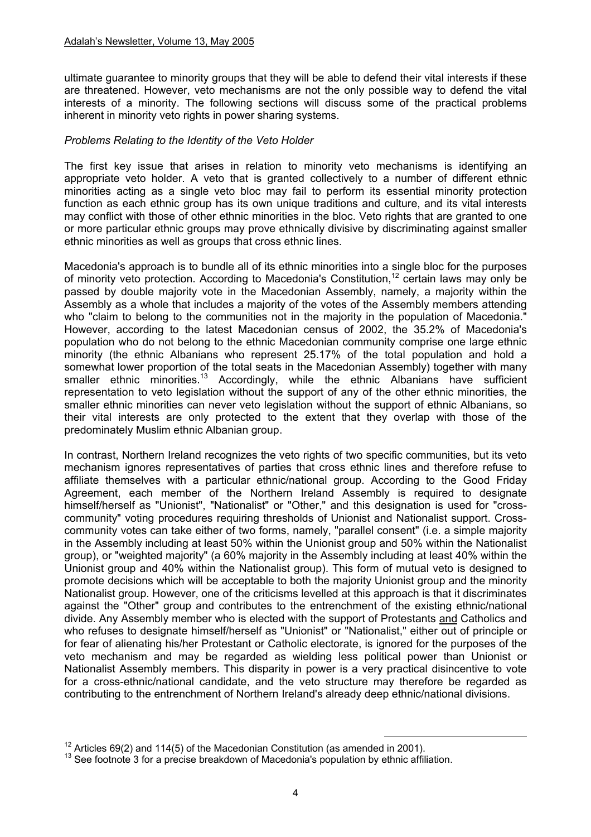ultimate guarantee to minority groups that they will be able to defend their vital interests if these are threatened. However, veto mechanisms are not the only possible way to defend the vital interests of a minority. The following sections will discuss some of the practical problems inherent in minority veto rights in power sharing systems.

### *Problems Relating to the Identity of the Veto Holder*

The first key issue that arises in relation to minority veto mechanisms is identifying an appropriate veto holder. A veto that is granted collectively to a number of different ethnic minorities acting as a single veto bloc may fail to perform its essential minority protection function as each ethnic group has its own unique traditions and culture, and its vital interests may conflict with those of other ethnic minorities in the bloc. Veto rights that are granted to one or more particular ethnic groups may prove ethnically divisive by discriminating against smaller ethnic minorities as well as groups that cross ethnic lines.

Macedonia's approach is to bundle all of its ethnic minorities into a single bloc for the purposes of minority veto protection. According to Macedonia's Constitution,<sup>12</sup> certain laws may only be passed by double majority vote in the Macedonian Assembly, namely, a majority within the Assembly as a whole that includes a majority of the votes of the Assembly members attending who "claim to belong to the communities not in the majority in the population of Macedonia." However, according to the latest Macedonian census of 2002, the 35.2% of Macedonia's population who do not belong to the ethnic Macedonian community comprise one large ethnic minority (the ethnic Albanians who represent 25.17% of the total population and hold a somewhat lower proportion of the total seats in the Macedonian Assembly) together with many smaller ethnic minorities.<sup>13</sup> Accordingly, while the ethnic Albanians have sufficient representation to veto legislation without the support of any of the other ethnic minorities, the smaller ethnic minorities can never veto legislation without the support of ethnic Albanians, so their vital interests are only protected to the extent that they overlap with those of the predominately Muslim ethnic Albanian group.

In contrast, Northern Ireland recognizes the veto rights of two specific communities, but its veto mechanism ignores representatives of parties that cross ethnic lines and therefore refuse to affiliate themselves with a particular ethnic/national group. According to the Good Friday Agreement, each member of the Northern Ireland Assembly is required to designate himself/herself as "Unionist", "Nationalist" or "Other," and this designation is used for "crosscommunity" voting procedures requiring thresholds of Unionist and Nationalist support. Crosscommunity votes can take either of two forms, namely, "parallel consent" (i.e. a simple majority in the Assembly including at least 50% within the Unionist group and 50% within the Nationalist group), or "weighted majority" (a 60% majority in the Assembly including at least 40% within the Unionist group and 40% within the Nationalist group). This form of mutual veto is designed to promote decisions which will be acceptable to both the majority Unionist group and the minority Nationalist group. However, one of the criticisms levelled at this approach is that it discriminates against the "Other" group and contributes to the entrenchment of the existing ethnic/national divide. Any Assembly member who is elected with the support of Protestants and Catholics and who refuses to designate himself/herself as "Unionist" or "Nationalist," either out of principle or for fear of alienating his/her Protestant or Catholic electorate, is ignored for the purposes of the veto mechanism and may be regarded as wielding less political power than Unionist or Nationalist Assembly members. This disparity in power is a very practical disincentive to vote for a cross-ethnic/national candidate, and the veto structure may therefore be regarded as contributing to the entrenchment of Northern Ireland's already deep ethnic/national divisions.

<sup>&</sup>lt;sup>12</sup> Articles 69(2) and 114(5) of the Macedonian Constitution (as amended in 2001).<br><sup>13</sup> See footnote 3 for a precise breakdown of Macedonia's population by ethnic affiliation.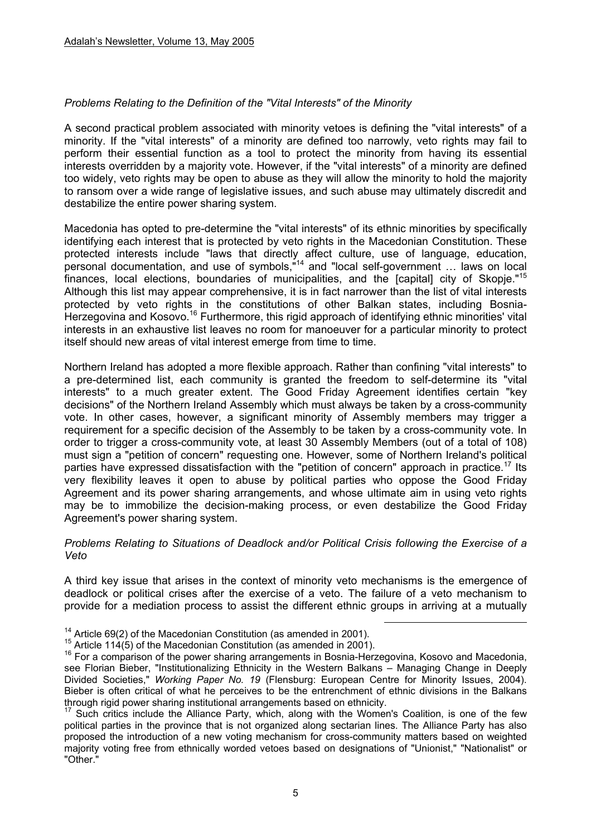### *Problems Relating to the Definition of the "Vital Interests" of the Minority*

A second practical problem associated with minority vetoes is defining the "vital interests" of a minority. If the "vital interests" of a minority are defined too narrowly, veto rights may fail to perform their essential function as a tool to protect the minority from having its essential interests overridden by a majority vote. However, if the "vital interests" of a minority are defined too widely, veto rights may be open to abuse as they will allow the minority to hold the majority to ransom over a wide range of legislative issues, and such abuse may ultimately discredit and destabilize the entire power sharing system.

Macedonia has opted to pre-determine the "vital interests" of its ethnic minorities by specifically identifying each interest that is protected by veto rights in the Macedonian Constitution. These protected interests include "laws that directly affect culture, use of language, education, personal documentation, and use of symbols,"14 and "local self-government … laws on local finances, local elections, boundaries of municipalities, and the [capital] city of Skopie."<sup>15</sup> Although this list may appear comprehensive, it is in fact narrower than the list of vital interests protected by veto rights in the constitutions of other Balkan states, including Bosnia-Herzegovina and Kosovo.<sup>16</sup> Furthermore, this rigid approach of identifying ethnic minorities' vital interests in an exhaustive list leaves no room for manoeuver for a particular minority to protect itself should new areas of vital interest emerge from time to time.

Northern Ireland has adopted a more flexible approach. Rather than confining "vital interests" to a pre-determined list, each community is granted the freedom to self-determine its "vital interests" to a much greater extent. The Good Friday Agreement identifies certain "key decisions" of the Northern Ireland Assembly which must always be taken by a cross-community vote. In other cases, however, a significant minority of Assembly members may trigger a requirement for a specific decision of the Assembly to be taken by a cross-community vote. In order to trigger a cross-community vote, at least 30 Assembly Members (out of a total of 108) must sign a "petition of concern" requesting one. However, some of Northern Ireland's political parties have expressed dissatisfaction with the "petition of concern" approach in practice.<sup>17</sup> Its very flexibility leaves it open to abuse by political parties who oppose the Good Friday Agreement and its power sharing arrangements, and whose ultimate aim in using veto rights may be to immobilize the decision-making process, or even destabilize the Good Friday Agreement's power sharing system.

#### *Problems Relating to Situations of Deadlock and/or Political Crisis following the Exercise of a Veto*

A third key issue that arises in the context of minority veto mechanisms is the emergence of deadlock or political crises after the exercise of a veto. The failure of a veto mechanism to provide for a mediation process to assist the different ethnic groups in arriving at a mutually

<sup>&</sup>lt;sup>14</sup> Article 69(2) of the Macedonian Constitution (as amended in 2001).<br><sup>15</sup> Article 114(5) of the Macedonian Constitution (as amended in 2001).<br><sup>16</sup> For a comparison of the power sharing arrangements in Bosnia-Herzegovin see Florian Bieber, "Institutionalizing Ethnicity in the Western Balkans – Managing Change in Deeply Divided Societies," *Working Paper No. 19* (Flensburg: European Centre for Minority Issues, 2004). Bieber is often critical of what he perceives to be the entrenchment of ethnic divisions in the Balkans through rigid power sharing institutional arrangements based on ethnicity.<br><sup>17</sup> Such critics include the Alliance Party, which, along with the Women's Coalition, is one of the few

political parties in the province that is not organized along sectarian lines. The Alliance Party has also proposed the introduction of a new voting mechanism for cross-community matters based on weighted majority voting free from ethnically worded vetoes based on designations of "Unionist," "Nationalist" or "Other."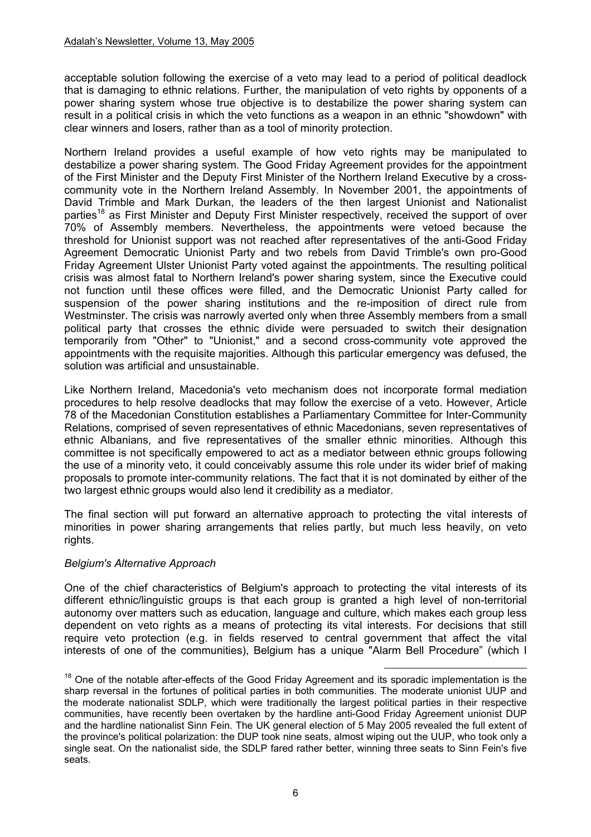acceptable solution following the exercise of a veto may lead to a period of political deadlock that is damaging to ethnic relations. Further, the manipulation of veto rights by opponents of a power sharing system whose true objective is to destabilize the power sharing system can result in a political crisis in which the veto functions as a weapon in an ethnic "showdown" with clear winners and losers, rather than as a tool of minority protection.

Northern Ireland provides a useful example of how veto rights may be manipulated to destabilize a power sharing system. The Good Friday Agreement provides for the appointment of the First Minister and the Deputy First Minister of the Northern Ireland Executive by a crosscommunity vote in the Northern Ireland Assembly. In November 2001, the appointments of David Trimble and Mark Durkan, the leaders of the then largest Unionist and Nationalist parties<sup>18</sup> as First Minister and Deputy First Minister respectively, received the support of over 70% of Assembly members. Nevertheless, the appointments were vetoed because the threshold for Unionist support was not reached after representatives of the anti-Good Friday Agreement Democratic Unionist Party and two rebels from David Trimble's own pro-Good Friday Agreement Ulster Unionist Party voted against the appointments. The resulting political crisis was almost fatal to Northern Ireland's power sharing system, since the Executive could not function until these offices were filled, and the Democratic Unionist Party called for suspension of the power sharing institutions and the re-imposition of direct rule from Westminster. The crisis was narrowly averted only when three Assembly members from a small political party that crosses the ethnic divide were persuaded to switch their designation temporarily from "Other" to "Unionist," and a second cross-community vote approved the appointments with the requisite majorities. Although this particular emergency was defused, the solution was artificial and unsustainable.

Like Northern Ireland, Macedonia's veto mechanism does not incorporate formal mediation procedures to help resolve deadlocks that may follow the exercise of a veto. However, Article 78 of the Macedonian Constitution establishes a Parliamentary Committee for Inter-Community Relations, comprised of seven representatives of ethnic Macedonians, seven representatives of ethnic Albanians, and five representatives of the smaller ethnic minorities. Although this committee is not specifically empowered to act as a mediator between ethnic groups following the use of a minority veto, it could conceivably assume this role under its wider brief of making proposals to promote inter-community relations. The fact that it is not dominated by either of the two largest ethnic groups would also lend it credibility as a mediator.

The final section will put forward an alternative approach to protecting the vital interests of minorities in power sharing arrangements that relies partly, but much less heavily, on veto rights.

### *Belgium's Alternative Approach*

One of the chief characteristics of Belgium's approach to protecting the vital interests of its different ethnic/linguistic groups is that each group is granted a high level of non-territorial autonomy over matters such as education, language and culture, which makes each group less dependent on veto rights as a means of protecting its vital interests. For decisions that still require veto protection (e.g. in fields reserved to central government that affect the vital interests of one of the communities), Belgium has a unique "Alarm Bell Procedure" (which I

<sup>&</sup>lt;sup>18</sup> One of the notable after-effects of the Good Friday Agreement and its sporadic implementation is the sharp reversal in the fortunes of political parties in both communities. The moderate unionist UUP and the moderate nationalist SDLP, which were traditionally the largest political parties in their respective communities, have recently been overtaken by the hardline anti-Good Friday Agreement unionist DUP and the hardline nationalist Sinn Fein. The UK general election of 5 May 2005 revealed the full extent of the province's political polarization: the DUP took nine seats, almost wiping out the UUP, who took only a single seat. On the nationalist side, the SDLP fared rather better, winning three seats to Sinn Fein's five seats.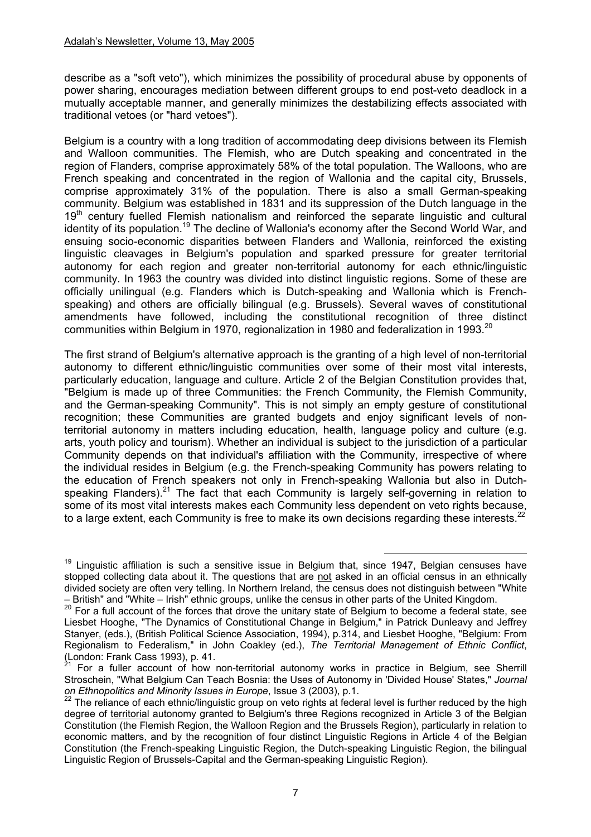describe as a "soft veto"), which minimizes the possibility of procedural abuse by opponents of power sharing, encourages mediation between different groups to end post-veto deadlock in a mutually acceptable manner, and generally minimizes the destabilizing effects associated with traditional vetoes (or "hard vetoes").

Belgium is a country with a long tradition of accommodating deep divisions between its Flemish and Walloon communities. The Flemish, who are Dutch speaking and concentrated in the region of Flanders, comprise approximately 58% of the total population. The Walloons, who are French speaking and concentrated in the region of Wallonia and the capital city, Brussels, comprise approximately 31% of the population. There is also a small German-speaking community. Belgium was established in 1831 and its suppression of the Dutch language in the 19<sup>th</sup> century fuelled Flemish nationalism and reinforced the separate linguistic and cultural identity of its population.<sup>19</sup> The decline of Wallonia's economy after the Second World War, and ensuing socio-economic disparities between Flanders and Wallonia, reinforced the existing linguistic cleavages in Belgium's population and sparked pressure for greater territorial autonomy for each region and greater non-territorial autonomy for each ethnic/linguistic community. In 1963 the country was divided into distinct linguistic regions. Some of these are officially unilingual (e.g. Flanders which is Dutch-speaking and Wallonia which is Frenchspeaking) and others are officially bilingual (e.g. Brussels). Several waves of constitutional amendments have followed, including the constitutional recognition of three distinct communities within Belgium in 1970, regionalization in 1980 and federalization in 1993.<sup>20</sup>

The first strand of Belgium's alternative approach is the granting of a high level of non-territorial autonomy to different ethnic/linguistic communities over some of their most vital interests, particularly education, language and culture. Article 2 of the Belgian Constitution provides that, "Belgium is made up of three Communities: the French Community, the Flemish Community, and the German-speaking Community". This is not simply an empty gesture of constitutional recognition; these Communities are granted budgets and enjoy significant levels of nonterritorial autonomy in matters including education, health, language policy and culture (e.g. arts, youth policy and tourism). Whether an individual is subject to the jurisdiction of a particular Community depends on that individual's affiliation with the Community, irrespective of where the individual resides in Belgium (e.g. the French-speaking Community has powers relating to the education of French speakers not only in French-speaking Wallonia but also in Dutchspeaking Flanders).<sup>21</sup> The fact that each Community is largely self-governing in relation to some of its most vital interests makes each Community less dependent on veto rights because, to a large extent, each Community is free to make its own decisions regarding these interests.<sup>22</sup>

 $19$  Linguistic affiliation is such a sensitive issue in Belgium that, since 1947, Belgian censuses have stopped collecting data about it. The questions that are not asked in an official census in an ethnically divided society are often very telling. In Northern Ireland, the census does not distinguish between "White

<sup>–</sup> British" and "White – Irish" ethnic groups, unlike the census in other parts of the United Kingdom.<br><sup>20</sup> For a full account of the forces that drove the unitary state of Belgium to become a federal state, see Liesbet Hooghe, "The Dynamics of Constitutional Change in Belgium," in Patrick Dunleavy and Jeffrey Stanyer, (eds.), (British Political Science Association, 1994), p.314, and Liesbet Hooghe, "Belgium: From Regionalism to Federalism," in John Coakley (ed.), *The Territorial Management of Ethnic Conflict*, (London: Frank Cass 1993), p. 41.

<sup>21</sup> For a fuller account of how non-territorial autonomy works in practice in Belgium, see Sherrill Stroschein, "What Belgium Can Teach Bosnia: the Uses of Autonomy in 'Divided House' States," *Journal* 

<sup>&</sup>lt;sup>22</sup> The reliance of each ethnic/linguistic group on veto rights at federal level is further reduced by the high degree of territorial autonomy granted to Belgium's three Regions recognized in Article 3 of the Belgian Constitution (the Flemish Region, the Walloon Region and the Brussels Region), particularly in relation to economic matters, and by the recognition of four distinct Linguistic Regions in Article 4 of the Belgian Constitution (the French-speaking Linguistic Region, the Dutch-speaking Linguistic Region, the bilingual Linguistic Region of Brussels-Capital and the German-speaking Linguistic Region).